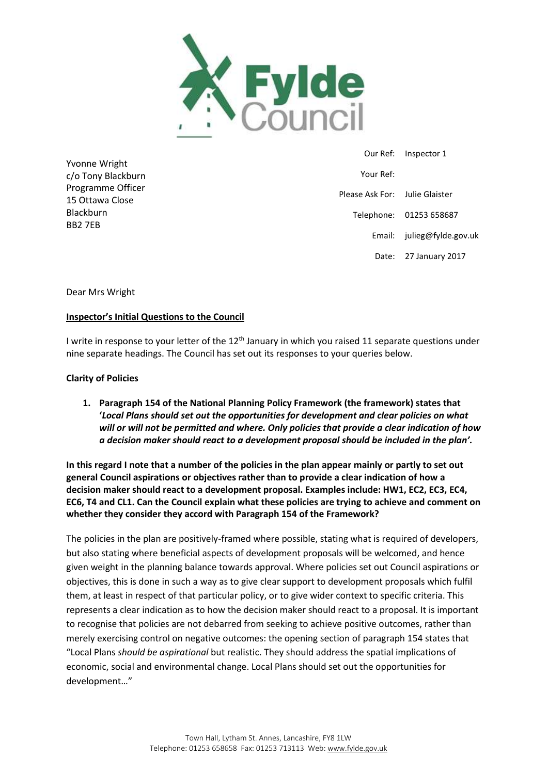

Yvonne Wright c/o Tony Blackburn Programme Officer 15 Ottawa Close Blackburn BB2 7EB

 Our Ref: Inspector 1 Your Ref: Please Ask For: Julie Glaister Telephone: 01253 658687 Email: julieg@fylde.gov.uk Date: 27 January 2017

Dear Mrs Wright

#### **Inspector's Initial Questions to the Council**

I write in response to your letter of the 12<sup>th</sup> January in which you raised 11 separate questions under nine separate headings. The Council has set out its responses to your queries below.

#### **Clarity of Policies**

**1. Paragraph 154 of the National Planning Policy Framework (the framework) states that '***Local Plans should set out the opportunities for development and clear policies on what will or will not be permitted and where. Only policies that provide a clear indication of how a decision maker should react to a development proposal should be included in the plan'.* 

**In this regard I note that a number of the policies in the plan appear mainly or partly to set out general Council aspirations or objectives rather than to provide a clear indication of how a decision maker should react to a development proposal. Examples include: HW1, EC2, EC3, EC4, EC6, T4 and CL1. Can the Council explain what these policies are trying to achieve and comment on whether they consider they accord with Paragraph 154 of the Framework?**

The policies in the plan are positively-framed where possible, stating what is required of developers, but also stating where beneficial aspects of development proposals will be welcomed, and hence given weight in the planning balance towards approval. Where policies set out Council aspirations or objectives, this is done in such a way as to give clear support to development proposals which fulfil them, at least in respect of that particular policy, or to give wider context to specific criteria. This represents a clear indication as to how the decision maker should react to a proposal. It is important to recognise that policies are not debarred from seeking to achieve positive outcomes, rather than merely exercising control on negative outcomes: the opening section of paragraph 154 states that "Local Plans *should be aspirational* but realistic. They should address the spatial implications of economic, social and environmental change. Local Plans should set out the opportunities for development…"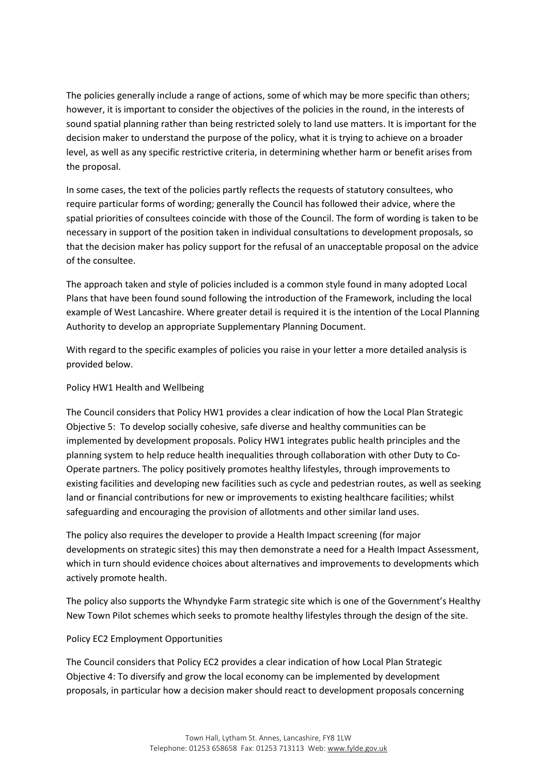The policies generally include a range of actions, some of which may be more specific than others; however, it is important to consider the objectives of the policies in the round, in the interests of sound spatial planning rather than being restricted solely to land use matters. It is important for the decision maker to understand the purpose of the policy, what it is trying to achieve on a broader level, as well as any specific restrictive criteria, in determining whether harm or benefit arises from the proposal.

In some cases, the text of the policies partly reflects the requests of statutory consultees, who require particular forms of wording; generally the Council has followed their advice, where the spatial priorities of consultees coincide with those of the Council. The form of wording is taken to be necessary in support of the position taken in individual consultations to development proposals, so that the decision maker has policy support for the refusal of an unacceptable proposal on the advice of the consultee.

The approach taken and style of policies included is a common style found in many adopted Local Plans that have been found sound following the introduction of the Framework, including the local example of West Lancashire. Where greater detail is required it is the intention of the Local Planning Authority to develop an appropriate Supplementary Planning Document.

With regard to the specific examples of policies you raise in your letter a more detailed analysis is provided below.

#### Policy HW1 Health and Wellbeing

The Council considers that Policy HW1 provides a clear indication of how the Local Plan Strategic Objective 5: To develop socially cohesive, safe diverse and healthy communities can be implemented by development proposals. Policy HW1 integrates public health principles and the planning system to help reduce health inequalities through collaboration with other Duty to Co-Operate partners. The policy positively promotes healthy lifestyles, through improvements to existing facilities and developing new facilities such as cycle and pedestrian routes, as well as seeking land or financial contributions for new or improvements to existing healthcare facilities; whilst safeguarding and encouraging the provision of allotments and other similar land uses.

The policy also requires the developer to provide a Health Impact screening (for major developments on strategic sites) this may then demonstrate a need for a Health Impact Assessment, which in turn should evidence choices about alternatives and improvements to developments which actively promote health.

The policy also supports the Whyndyke Farm strategic site which is one of the Government's Healthy New Town Pilot schemes which seeks to promote healthy lifestyles through the design of the site.

#### Policy EC2 Employment Opportunities

The Council considers that Policy EC2 provides a clear indication of how Local Plan Strategic Objective 4: To diversify and grow the local economy can be implemented by development proposals, in particular how a decision maker should react to development proposals concerning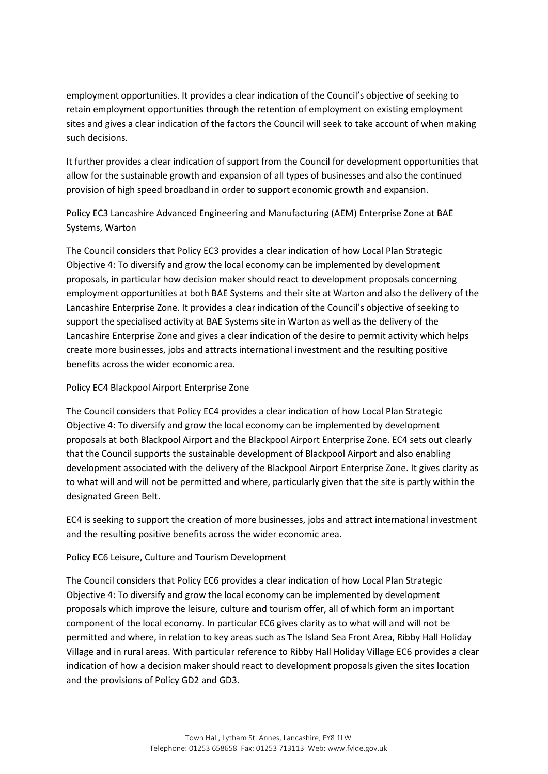employment opportunities. It provides a clear indication of the Council's objective of seeking to retain employment opportunities through the retention of employment on existing employment sites and gives a clear indication of the factors the Council will seek to take account of when making such decisions.

It further provides a clear indication of support from the Council for development opportunities that allow for the sustainable growth and expansion of all types of businesses and also the continued provision of high speed broadband in order to support economic growth and expansion.

Policy EC3 Lancashire Advanced Engineering and Manufacturing (AEM) Enterprise Zone at BAE Systems, Warton

The Council considers that Policy EC3 provides a clear indication of how Local Plan Strategic Objective 4: To diversify and grow the local economy can be implemented by development proposals, in particular how decision maker should react to development proposals concerning employment opportunities at both BAE Systems and their site at Warton and also the delivery of the Lancashire Enterprise Zone. It provides a clear indication of the Council's objective of seeking to support the specialised activity at BAE Systems site in Warton as well as the delivery of the Lancashire Enterprise Zone and gives a clear indication of the desire to permit activity which helps create more businesses, jobs and attracts international investment and the resulting positive benefits across the wider economic area.

Policy EC4 Blackpool Airport Enterprise Zone

The Council considers that Policy EC4 provides a clear indication of how Local Plan Strategic Objective 4: To diversify and grow the local economy can be implemented by development proposals at both Blackpool Airport and the Blackpool Airport Enterprise Zone. EC4 sets out clearly that the Council supports the sustainable development of Blackpool Airport and also enabling development associated with the delivery of the Blackpool Airport Enterprise Zone. It gives clarity as to what will and will not be permitted and where, particularly given that the site is partly within the designated Green Belt.

EC4 is seeking to support the creation of more businesses, jobs and attract international investment and the resulting positive benefits across the wider economic area.

Policy EC6 Leisure, Culture and Tourism Development

The Council considers that Policy EC6 provides a clear indication of how Local Plan Strategic Objective 4: To diversify and grow the local economy can be implemented by development proposals which improve the leisure, culture and tourism offer, all of which form an important component of the local economy. In particular EC6 gives clarity as to what will and will not be permitted and where, in relation to key areas such as The Island Sea Front Area, Ribby Hall Holiday Village and in rural areas. With particular reference to Ribby Hall Holiday Village EC6 provides a clear indication of how a decision maker should react to development proposals given the sites location and the provisions of Policy GD2 and GD3.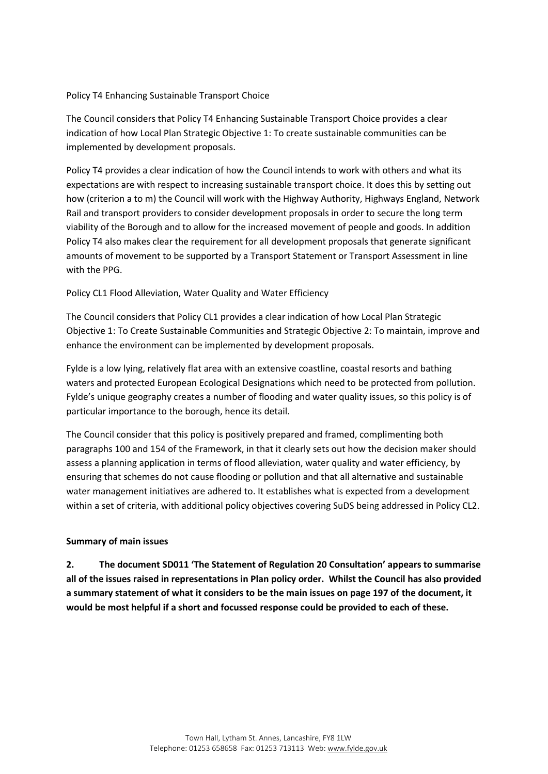#### Policy T4 Enhancing Sustainable Transport Choice

The Council considers that Policy T4 Enhancing Sustainable Transport Choice provides a clear indication of how Local Plan Strategic Objective 1: To create sustainable communities can be implemented by development proposals.

Policy T4 provides a clear indication of how the Council intends to work with others and what its expectations are with respect to increasing sustainable transport choice. It does this by setting out how (criterion a to m) the Council will work with the Highway Authority, Highways England, Network Rail and transport providers to consider development proposals in order to secure the long term viability of the Borough and to allow for the increased movement of people and goods. In addition Policy T4 also makes clear the requirement for all development proposals that generate significant amounts of movement to be supported by a Transport Statement or Transport Assessment in line with the PPG.

#### Policy CL1 Flood Alleviation, Water Quality and Water Efficiency

The Council considers that Policy CL1 provides a clear indication of how Local Plan Strategic Objective 1: To Create Sustainable Communities and Strategic Objective 2: To maintain, improve and enhance the environment can be implemented by development proposals.

Fylde is a low lying, relatively flat area with an extensive coastline, coastal resorts and bathing waters and protected European Ecological Designations which need to be protected from pollution. Fylde's unique geography creates a number of flooding and water quality issues, so this policy is of particular importance to the borough, hence its detail.

The Council consider that this policy is positively prepared and framed, complimenting both paragraphs 100 and 154 of the Framework, in that it clearly sets out how the decision maker should assess a planning application in terms of flood alleviation, water quality and water efficiency, by ensuring that schemes do not cause flooding or pollution and that all alternative and sustainable water management initiatives are adhered to. It establishes what is expected from a development within a set of criteria, with additional policy objectives covering SuDS being addressed in Policy CL2.

#### **Summary of main issues**

**2. The document SD011 'The Statement of Regulation 20 Consultation' appears to summarise all of the issues raised in representations in Plan policy order. Whilst the Council has also provided a summary statement of what it considers to be the main issues on page 197 of the document, it would be most helpful if a short and focussed response could be provided to each of these.**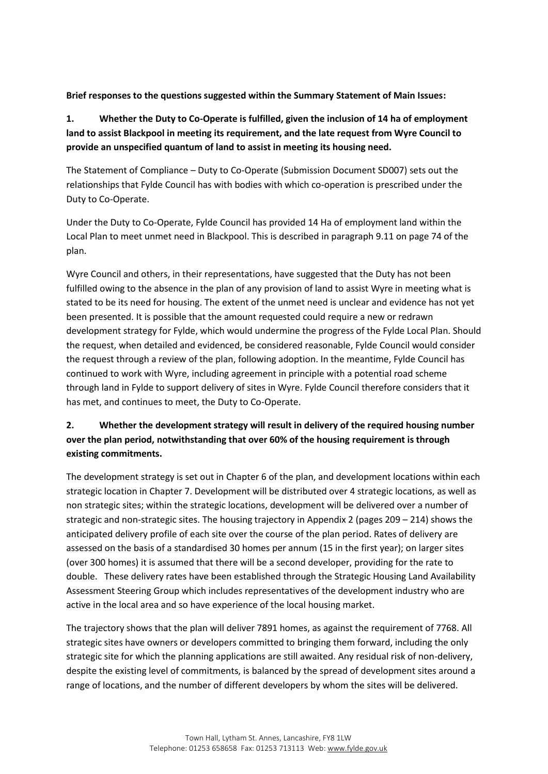# **Brief responses to the questions suggested within the Summary Statement of Main Issues:**

# **1. Whether the Duty to Co-Operate is fulfilled, given the inclusion of 14 ha of employment land to assist Blackpool in meeting its requirement, and the late request from Wyre Council to provide an unspecified quantum of land to assist in meeting its housing need.**

The Statement of Compliance – Duty to Co-Operate (Submission Document SD007) sets out the relationships that Fylde Council has with bodies with which co-operation is prescribed under the Duty to Co-Operate.

Under the Duty to Co-Operate, Fylde Council has provided 14 Ha of employment land within the Local Plan to meet unmet need in Blackpool. This is described in paragraph 9.11 on page 74 of the plan.

Wyre Council and others, in their representations, have suggested that the Duty has not been fulfilled owing to the absence in the plan of any provision of land to assist Wyre in meeting what is stated to be its need for housing. The extent of the unmet need is unclear and evidence has not yet been presented. It is possible that the amount requested could require a new or redrawn development strategy for Fylde, which would undermine the progress of the Fylde Local Plan. Should the request, when detailed and evidenced, be considered reasonable, Fylde Council would consider the request through a review of the plan, following adoption. In the meantime, Fylde Council has continued to work with Wyre, including agreement in principle with a potential road scheme through land in Fylde to support delivery of sites in Wyre. Fylde Council therefore considers that it has met, and continues to meet, the Duty to Co-Operate.

# **2. Whether the development strategy will result in delivery of the required housing number over the plan period, notwithstanding that over 60% of the housing requirement is through existing commitments.**

The development strategy is set out in Chapter 6 of the plan, and development locations within each strategic location in Chapter 7. Development will be distributed over 4 strategic locations, as well as non strategic sites; within the strategic locations, development will be delivered over a number of strategic and non-strategic sites. The housing trajectory in Appendix 2 (pages 209 – 214) shows the anticipated delivery profile of each site over the course of the plan period. Rates of delivery are assessed on the basis of a standardised 30 homes per annum (15 in the first year); on larger sites (over 300 homes) it is assumed that there will be a second developer, providing for the rate to double. These delivery rates have been established through the Strategic Housing Land Availability Assessment Steering Group which includes representatives of the development industry who are active in the local area and so have experience of the local housing market.

The trajectory shows that the plan will deliver 7891 homes, as against the requirement of 7768. All strategic sites have owners or developers committed to bringing them forward, including the only strategic site for which the planning applications are still awaited. Any residual risk of non-delivery, despite the existing level of commitments, is balanced by the spread of development sites around a range of locations, and the number of different developers by whom the sites will be delivered.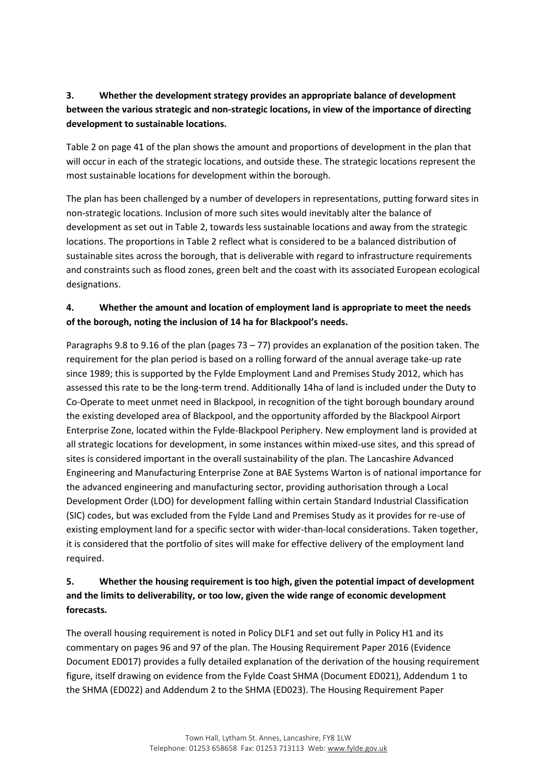# **3. Whether the development strategy provides an appropriate balance of development between the various strategic and non-strategic locations, in view of the importance of directing development to sustainable locations.**

Table 2 on page 41 of the plan shows the amount and proportions of development in the plan that will occur in each of the strategic locations, and outside these. The strategic locations represent the most sustainable locations for development within the borough.

The plan has been challenged by a number of developers in representations, putting forward sites in non-strategic locations. Inclusion of more such sites would inevitably alter the balance of development as set out in Table 2, towards less sustainable locations and away from the strategic locations. The proportions in Table 2 reflect what is considered to be a balanced distribution of sustainable sites across the borough, that is deliverable with regard to infrastructure requirements and constraints such as flood zones, green belt and the coast with its associated European ecological designations.

# **4. Whether the amount and location of employment land is appropriate to meet the needs of the borough, noting the inclusion of 14 ha for Blackpool's needs.**

Paragraphs 9.8 to 9.16 of the plan (pages 73 – 77) provides an explanation of the position taken. The requirement for the plan period is based on a rolling forward of the annual average take-up rate since 1989; this is supported by the Fylde Employment Land and Premises Study 2012, which has assessed this rate to be the long-term trend. Additionally 14ha of land is included under the Duty to Co-Operate to meet unmet need in Blackpool, in recognition of the tight borough boundary around the existing developed area of Blackpool, and the opportunity afforded by the Blackpool Airport Enterprise Zone, located within the Fylde-Blackpool Periphery. New employment land is provided at all strategic locations for development, in some instances within mixed-use sites, and this spread of sites is considered important in the overall sustainability of the plan. The Lancashire Advanced Engineering and Manufacturing Enterprise Zone at BAE Systems Warton is of national importance for the advanced engineering and manufacturing sector, providing authorisation through a Local Development Order (LDO) for development falling within certain Standard Industrial Classification (SIC) codes, but was excluded from the Fylde Land and Premises Study as it provides for re-use of existing employment land for a specific sector with wider-than-local considerations. Taken together, it is considered that the portfolio of sites will make for effective delivery of the employment land required.

# **5. Whether the housing requirement is too high, given the potential impact of development and the limits to deliverability, or too low, given the wide range of economic development forecasts.**

The overall housing requirement is noted in Policy DLF1 and set out fully in Policy H1 and its commentary on pages 96 and 97 of the plan. The Housing Requirement Paper 2016 (Evidence Document ED017) provides a fully detailed explanation of the derivation of the housing requirement figure, itself drawing on evidence from the Fylde Coast SHMA (Document ED021), Addendum 1 to the SHMA (ED022) and Addendum 2 to the SHMA (ED023). The Housing Requirement Paper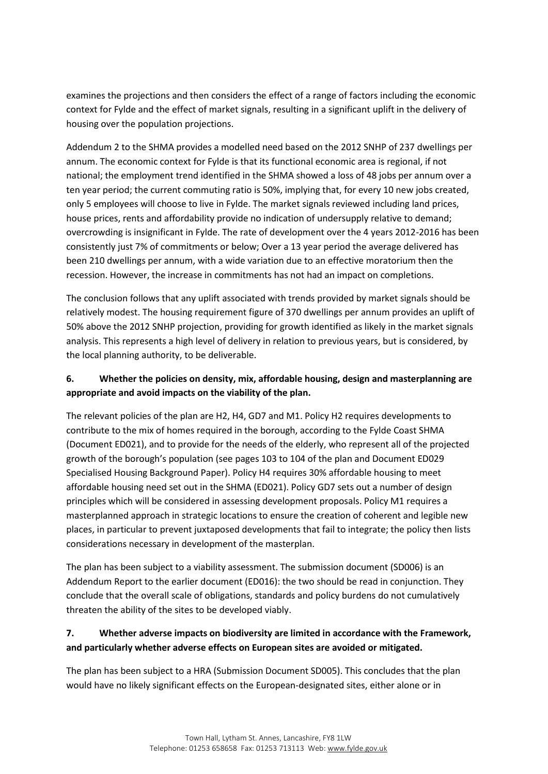examines the projections and then considers the effect of a range of factors including the economic context for Fylde and the effect of market signals, resulting in a significant uplift in the delivery of housing over the population projections.

Addendum 2 to the SHMA provides a modelled need based on the 2012 SNHP of 237 dwellings per annum. The economic context for Fylde is that its functional economic area is regional, if not national; the employment trend identified in the SHMA showed a loss of 48 jobs per annum over a ten year period; the current commuting ratio is 50%, implying that, for every 10 new jobs created, only 5 employees will choose to live in Fylde. The market signals reviewed including land prices, house prices, rents and affordability provide no indication of undersupply relative to demand; overcrowding is insignificant in Fylde. The rate of development over the 4 years 2012-2016 has been consistently just 7% of commitments or below; Over a 13 year period the average delivered has been 210 dwellings per annum, with a wide variation due to an effective moratorium then the recession. However, the increase in commitments has not had an impact on completions.

The conclusion follows that any uplift associated with trends provided by market signals should be relatively modest. The housing requirement figure of 370 dwellings per annum provides an uplift of 50% above the 2012 SNHP projection, providing for growth identified as likely in the market signals analysis. This represents a high level of delivery in relation to previous years, but is considered, by the local planning authority, to be deliverable.

# **6. Whether the policies on density, mix, affordable housing, design and masterplanning are appropriate and avoid impacts on the viability of the plan.**

The relevant policies of the plan are H2, H4, GD7 and M1. Policy H2 requires developments to contribute to the mix of homes required in the borough, according to the Fylde Coast SHMA (Document ED021), and to provide for the needs of the elderly, who represent all of the projected growth of the borough's population (see pages 103 to 104 of the plan and Document ED029 Specialised Housing Background Paper). Policy H4 requires 30% affordable housing to meet affordable housing need set out in the SHMA (ED021). Policy GD7 sets out a number of design principles which will be considered in assessing development proposals. Policy M1 requires a masterplanned approach in strategic locations to ensure the creation of coherent and legible new places, in particular to prevent juxtaposed developments that fail to integrate; the policy then lists considerations necessary in development of the masterplan.

The plan has been subject to a viability assessment. The submission document (SD006) is an Addendum Report to the earlier document (ED016): the two should be read in conjunction. They conclude that the overall scale of obligations, standards and policy burdens do not cumulatively threaten the ability of the sites to be developed viably.

# **7. Whether adverse impacts on biodiversity are limited in accordance with the Framework, and particularly whether adverse effects on European sites are avoided or mitigated.**

The plan has been subject to a HRA (Submission Document SD005). This concludes that the plan would have no likely significant effects on the European-designated sites, either alone or in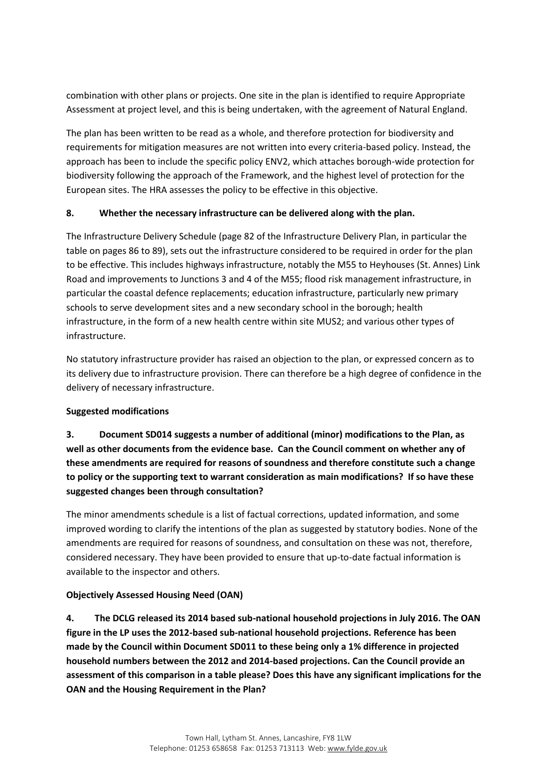combination with other plans or projects. One site in the plan is identified to require Appropriate Assessment at project level, and this is being undertaken, with the agreement of Natural England.

The plan has been written to be read as a whole, and therefore protection for biodiversity and requirements for mitigation measures are not written into every criteria-based policy. Instead, the approach has been to include the specific policy ENV2, which attaches borough-wide protection for biodiversity following the approach of the Framework, and the highest level of protection for the European sites. The HRA assesses the policy to be effective in this objective.

# **8. Whether the necessary infrastructure can be delivered along with the plan.**

The Infrastructure Delivery Schedule (page 82 of the Infrastructure Delivery Plan, in particular the table on pages 86 to 89), sets out the infrastructure considered to be required in order for the plan to be effective. This includes highways infrastructure, notably the M55 to Heyhouses (St. Annes) Link Road and improvements to Junctions 3 and 4 of the M55; flood risk management infrastructure, in particular the coastal defence replacements; education infrastructure, particularly new primary schools to serve development sites and a new secondary school in the borough; health infrastructure, in the form of a new health centre within site MUS2; and various other types of infrastructure.

No statutory infrastructure provider has raised an objection to the plan, or expressed concern as to its delivery due to infrastructure provision. There can therefore be a high degree of confidence in the delivery of necessary infrastructure.

# **Suggested modifications**

**3. Document SD014 suggests a number of additional (minor) modifications to the Plan, as well as other documents from the evidence base. Can the Council comment on whether any of these amendments are required for reasons of soundness and therefore constitute such a change to policy or the supporting text to warrant consideration as main modifications? If so have these suggested changes been through consultation?**

The minor amendments schedule is a list of factual corrections, updated information, and some improved wording to clarify the intentions of the plan as suggested by statutory bodies. None of the amendments are required for reasons of soundness, and consultation on these was not, therefore, considered necessary. They have been provided to ensure that up-to-date factual information is available to the inspector and others.

# **Objectively Assessed Housing Need (OAN)**

**4. The DCLG released its 2014 based sub-national household projections in July 2016. The OAN figure in the LP uses the 2012-based sub-national household projections. Reference has been made by the Council within Document SD011 to these being only a 1% difference in projected household numbers between the 2012 and 2014-based projections. Can the Council provide an assessment of this comparison in a table please? Does this have any significant implications for the OAN and the Housing Requirement in the Plan?**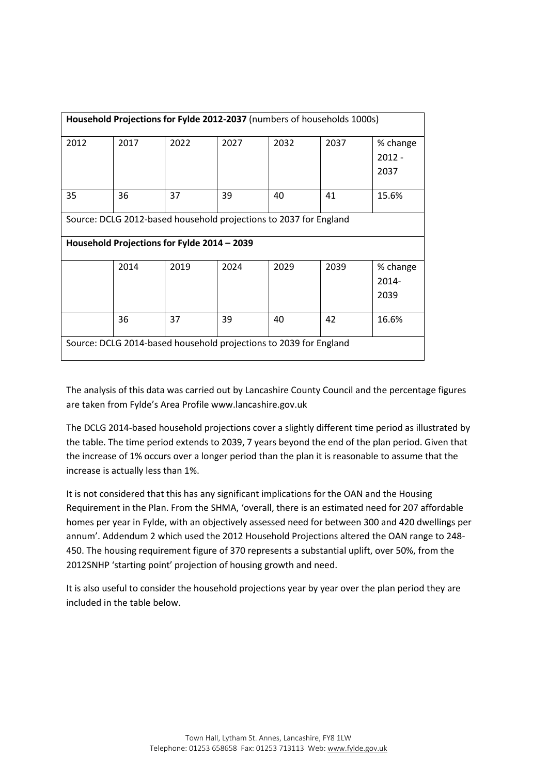| Household Projections for Fylde 2012-2037 (numbers of households 1000s) |                                                                      |                                                              |                                                                   |  |  |  |  |  |  |  |  |  |  |  |
|-------------------------------------------------------------------------|----------------------------------------------------------------------|--------------------------------------------------------------|-------------------------------------------------------------------|--|--|--|--|--|--|--|--|--|--|--|
| 2012                                                                    | 2017                                                                 | 2022<br>2027<br>2032<br>2037<br>% change<br>$2012 -$<br>2037 |                                                                   |  |  |  |  |  |  |  |  |  |  |  |
| 36<br>37<br>39<br>40<br>41<br>35<br>15.6%                               |                                                                      |                                                              |                                                                   |  |  |  |  |  |  |  |  |  |  |  |
|                                                                         | Source: DCLG 2012-based household projections to 2037 for England    |                                                              |                                                                   |  |  |  |  |  |  |  |  |  |  |  |
|                                                                         | Household Projections for Fylde 2014 - 2039                          |                                                              |                                                                   |  |  |  |  |  |  |  |  |  |  |  |
|                                                                         | 2019<br>2024<br>2014<br>2029<br>2039<br>% change<br>$2014 -$<br>2039 |                                                              |                                                                   |  |  |  |  |  |  |  |  |  |  |  |
|                                                                         | 37<br>36<br>39<br>42<br>40<br>16.6%                                  |                                                              |                                                                   |  |  |  |  |  |  |  |  |  |  |  |
|                                                                         |                                                                      |                                                              | Source: DCLG 2014-based household projections to 2039 for England |  |  |  |  |  |  |  |  |  |  |  |

The analysis of this data was carried out by Lancashire County Council and the percentage figures are taken from Fylde's Area Profile www.lancashire.gov.uk

The DCLG 2014-based household projections cover a slightly different time period as illustrated by the table. The time period extends to 2039, 7 years beyond the end of the plan period. Given that the increase of 1% occurs over a longer period than the plan it is reasonable to assume that the increase is actually less than 1%.

It is not considered that this has any significant implications for the OAN and the Housing Requirement in the Plan. From the SHMA, 'overall, there is an estimated need for 207 affordable homes per year in Fylde, with an objectively assessed need for between 300 and 420 dwellings per annum'. Addendum 2 which used the 2012 Household Projections altered the OAN range to 248- 450. The housing requirement figure of 370 represents a substantial uplift, over 50%, from the 2012SNHP 'starting point' projection of housing growth and need.

It is also useful to consider the household projections year by year over the plan period they are included in the table below.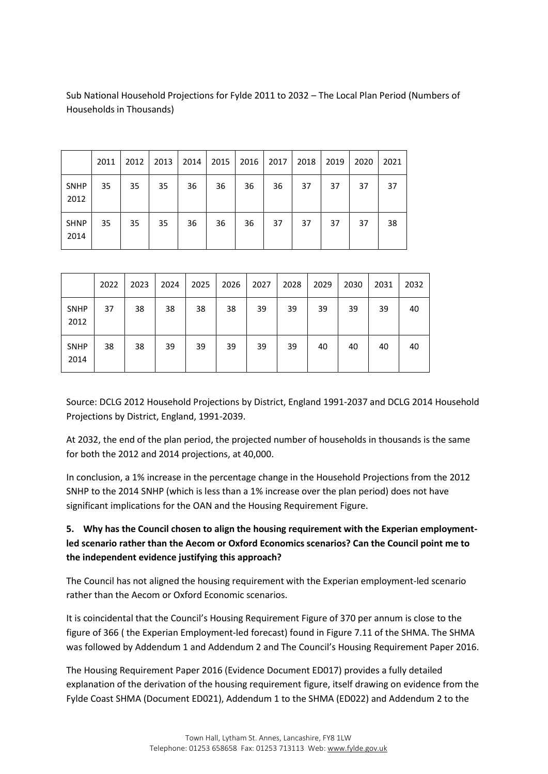|                     | 2011 | 2012 | 2013 | 2014 | 2015 | 2016 | 2017 | 2018 | 2019 | 2020 | 2021 |
|---------------------|------|------|------|------|------|------|------|------|------|------|------|
| <b>SNHP</b><br>2012 | 35   | 35   | 35   | 36   | 36   | 36   | 36   | 37   | 37   | 37   | 37   |
| <b>SHNP</b><br>2014 | 35   | 35   | 35   | 36   | 36   | 36   | 37   | 37   | 37   | 37   | 38   |

Sub National Household Projections for Fylde 2011 to 2032 – The Local Plan Period (Numbers of Households in Thousands)

|                     | 2022 | 2023 | 2024 | 2025 | 2026 | 2027 | 2028 | 2029 | 2030 | 2031 | 2032 |
|---------------------|------|------|------|------|------|------|------|------|------|------|------|
| <b>SNHP</b><br>2012 | 37   | 38   | 38   | 38   | 38   | 39   | 39   | 39   | 39   | 39   | 40   |
| <b>SNHP</b><br>2014 | 38   | 38   | 39   | 39   | 39   | 39   | 39   | 40   | 40   | 40   | 40   |

Source: DCLG 2012 Household Projections by District, England 1991-2037 and DCLG 2014 Household Projections by District, England, 1991-2039.

At 2032, the end of the plan period, the projected number of households in thousands is the same for both the 2012 and 2014 projections, at 40,000.

In conclusion, a 1% increase in the percentage change in the Household Projections from the 2012 SNHP to the 2014 SNHP (which is less than a 1% increase over the plan period) does not have significant implications for the OAN and the Housing Requirement Figure.

# **5. Why has the Council chosen to align the housing requirement with the Experian employmentled scenario rather than the Aecom or Oxford Economics scenarios? Can the Council point me to the independent evidence justifying this approach?**

The Council has not aligned the housing requirement with the Experian employment-led scenario rather than the Aecom or Oxford Economic scenarios.

It is coincidental that the Council's Housing Requirement Figure of 370 per annum is close to the figure of 366 ( the Experian Employment-led forecast) found in Figure 7.11 of the SHMA. The SHMA was followed by Addendum 1 and Addendum 2 and The Council's Housing Requirement Paper 2016.

The Housing Requirement Paper 2016 (Evidence Document ED017) provides a fully detailed explanation of the derivation of the housing requirement figure, itself drawing on evidence from the Fylde Coast SHMA (Document ED021), Addendum 1 to the SHMA (ED022) and Addendum 2 to the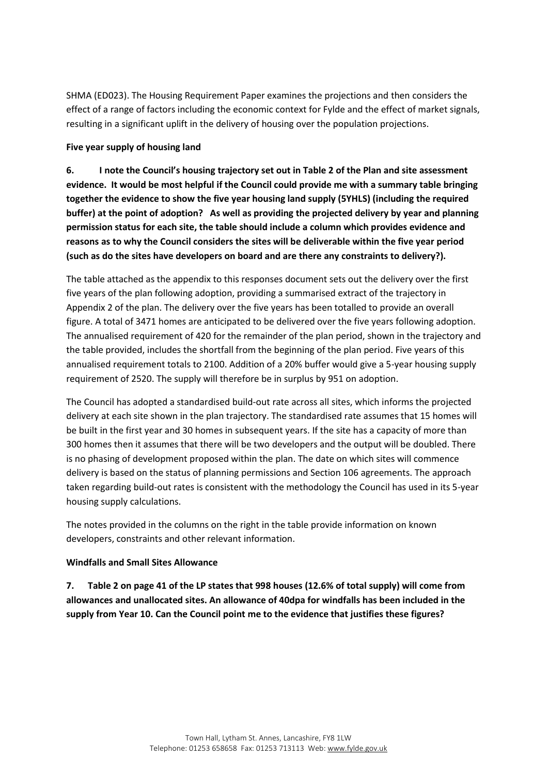SHMA (ED023). The Housing Requirement Paper examines the projections and then considers the effect of a range of factors including the economic context for Fylde and the effect of market signals, resulting in a significant uplift in the delivery of housing over the population projections.

# **Five year supply of housing land**

**6. I note the Council's housing trajectory set out in Table 2 of the Plan and site assessment evidence. It would be most helpful if the Council could provide me with a summary table bringing together the evidence to show the five year housing land supply (5YHLS) (including the required buffer) at the point of adoption? As well as providing the projected delivery by year and planning permission status for each site, the table should include a column which provides evidence and reasons as to why the Council considers the sites will be deliverable within the five year period (such as do the sites have developers on board and are there any constraints to delivery?).**

The table attached as the appendix to this responses document sets out the delivery over the first five years of the plan following adoption, providing a summarised extract of the trajectory in Appendix 2 of the plan. The delivery over the five years has been totalled to provide an overall figure. A total of 3471 homes are anticipated to be delivered over the five years following adoption. The annualised requirement of 420 for the remainder of the plan period, shown in the trajectory and the table provided, includes the shortfall from the beginning of the plan period. Five years of this annualised requirement totals to 2100. Addition of a 20% buffer would give a 5-year housing supply requirement of 2520. The supply will therefore be in surplus by 951 on adoption.

The Council has adopted a standardised build-out rate across all sites, which informs the projected delivery at each site shown in the plan trajectory. The standardised rate assumes that 15 homes will be built in the first year and 30 homes in subsequent years. If the site has a capacity of more than 300 homes then it assumes that there will be two developers and the output will be doubled. There is no phasing of development proposed within the plan. The date on which sites will commence delivery is based on the status of planning permissions and Section 106 agreements. The approach taken regarding build-out rates is consistent with the methodology the Council has used in its 5-year housing supply calculations.

The notes provided in the columns on the right in the table provide information on known developers, constraints and other relevant information.

# **Windfalls and Small Sites Allowance**

**7. Table 2 on page 41 of the LP states that 998 houses (12.6% of total supply) will come from allowances and unallocated sites. An allowance of 40dpa for windfalls has been included in the supply from Year 10. Can the Council point me to the evidence that justifies these figures?**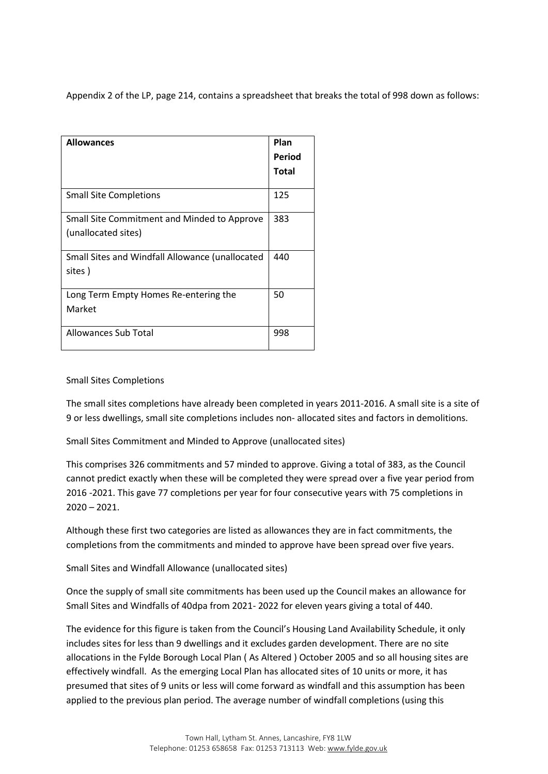Appendix 2 of the LP, page 214, contains a spreadsheet that breaks the total of 998 down as follows:

| <b>Allowances</b>                               | Plan   |
|-------------------------------------------------|--------|
|                                                 | Period |
|                                                 | Total  |
| <b>Small Site Completions</b>                   | 125    |
| Small Site Commitment and Minded to Approve     | 383    |
| (unallocated sites)                             |        |
| Small Sites and Windfall Allowance (unallocated | 440    |
| sites)                                          |        |
| Long Term Empty Homes Re-entering the           | 50     |
| Market                                          |        |
| Allowances Sub Total                            | 998    |

#### Small Sites Completions

The small sites completions have already been completed in years 2011-2016. A small site is a site of 9 or less dwellings, small site completions includes non- allocated sites and factors in demolitions.

Small Sites Commitment and Minded to Approve (unallocated sites)

This comprises 326 commitments and 57 minded to approve. Giving a total of 383, as the Council cannot predict exactly when these will be completed they were spread over a five year period from 2016 -2021. This gave 77 completions per year for four consecutive years with 75 completions in 2020 – 2021.

Although these first two categories are listed as allowances they are in fact commitments, the completions from the commitments and minded to approve have been spread over five years.

Small Sites and Windfall Allowance (unallocated sites)

Once the supply of small site commitments has been used up the Council makes an allowance for Small Sites and Windfalls of 40dpa from 2021- 2022 for eleven years giving a total of 440.

The evidence for this figure is taken from the Council's Housing Land Availability Schedule, it only includes sites for less than 9 dwellings and it excludes garden development. There are no site allocations in the Fylde Borough Local Plan ( As Altered ) October 2005 and so all housing sites are effectively windfall. As the emerging Local Plan has allocated sites of 10 units or more, it has presumed that sites of 9 units or less will come forward as windfall and this assumption has been applied to the previous plan period. The average number of windfall completions (using this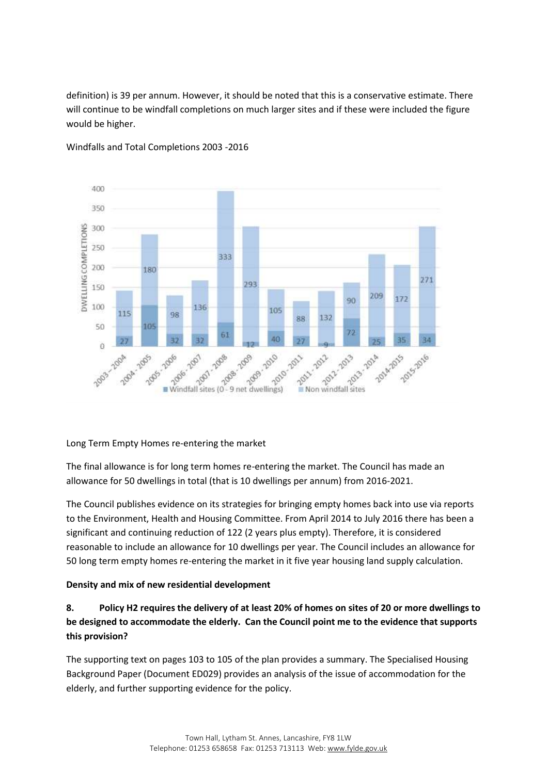definition) is 39 per annum. However, it should be noted that this is a conservative estimate. There will continue to be windfall completions on much larger sites and if these were included the figure would be higher.



Windfalls and Total Completions 2003 -2016

# Long Term Empty Homes re-entering the market

The final allowance is for long term homes re-entering the market. The Council has made an allowance for 50 dwellings in total (that is 10 dwellings per annum) from 2016-2021.

The Council publishes evidence on its strategies for bringing empty homes back into use via reports to the Environment, Health and Housing Committee. From April 2014 to July 2016 there has been a significant and continuing reduction of 122 (2 years plus empty). Therefore, it is considered reasonable to include an allowance for 10 dwellings per year. The Council includes an allowance for 50 long term empty homes re-entering the market in it five year housing land supply calculation.

# **Density and mix of new residential development**

# **8. Policy H2 requires the delivery of at least 20% of homes on sites of 20 or more dwellings to be designed to accommodate the elderly. Can the Council point me to the evidence that supports this provision?**

The supporting text on pages 103 to 105 of the plan provides a summary. The Specialised Housing Background Paper (Document ED029) provides an analysis of the issue of accommodation for the elderly, and further supporting evidence for the policy.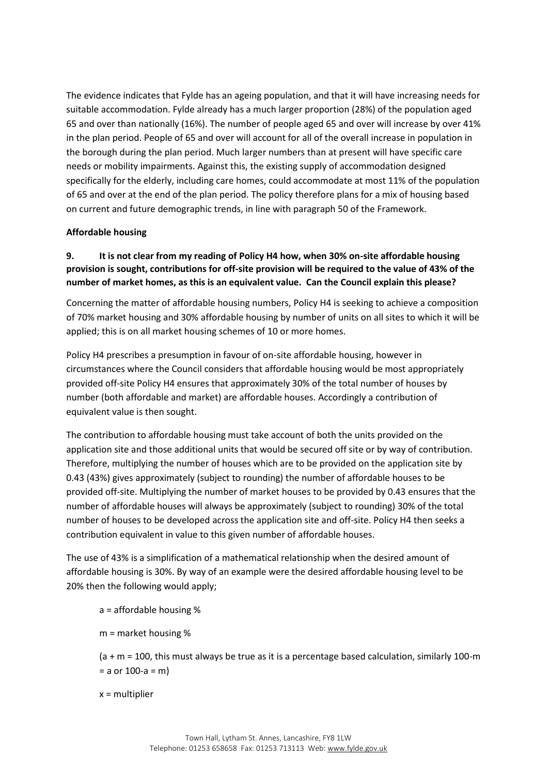The evidence indicates that Fylde has an ageing population, and that it will have increasing needs for suitable accommodation. Fylde already has a much larger proportion (28%) of the population aged 65 and over than nationally (16%). The number of people aged 65 and over will increase by over 41% in the plan period. People of 65 and over will account for all of the overall increase in population in the borough during the plan period. Much larger numbers than at present will have specific care needs or mobility impairments. Against this, the existing supply of accommodation designed specifically for the elderly, including care homes, could accommodate at most 11% of the population of 65 and over at the end of the plan period. The policy therefore plans for a mix of housing based on current and future demographic trends, in line with paragraph 50 of the Framework.

# **Affordable housing**

# **9. It is not clear from my reading of Policy H4 how, when 30% on-site affordable housing provision is sought, contributions for off-site provision will be required to the value of 43% of the number of market homes, as this is an equivalent value. Can the Council explain this please?**

Concerning the matter of affordable housing numbers, Policy H4 is seeking to achieve a composition of 70% market housing and 30% affordable housing by number of units on all sites to which it will be applied; this is on all market housing schemes of 10 or more homes.

Policy H4 prescribes a presumption in favour of on-site affordable housing, however in circumstances where the Council considers that affordable housing would be most appropriately provided off-site Policy H4 ensures that approximately 30% of the total number of houses by number (both affordable and market) are affordable houses. Accordingly a contribution of equivalent value is then sought.

The contribution to affordable housing must take account of both the units provided on the application site and those additional units that would be secured off site or by way of contribution. Therefore, multiplying the number of houses which are to be provided on the application site by 0.43 (43%) gives approximately (subject to rounding) the number of affordable houses to be provided off-site. Multiplying the number of market houses to be provided by 0.43 ensures that the number of affordable houses will always be approximately (subject to rounding) 30% of the total number of houses to be developed across the application site and off-site. Policy H4 then seeks a contribution equivalent in value to this given number of affordable houses.

The use of 43% is a simplification of a mathematical relationship when the desired amount of affordable housing is 30%. By way of an example were the desired affordable housing level to be 20% then the following would apply;

a = affordable housing %

m = market housing %

(a + m = 100, this must always be true as it is a percentage based calculation, similarly 100-m  $= a$  or 100-a  $= m$ )

x = multiplier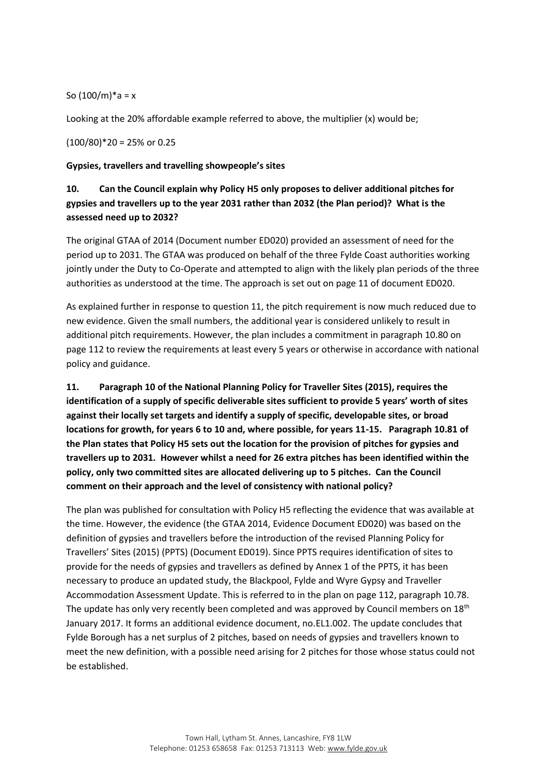So  $(100/m)*a = x$ 

Looking at the 20% affordable example referred to above, the multiplier (x) would be;

(100/80)\*20 = 25% or 0.25

#### **Gypsies, travellers and travelling showpeople's sites**

# **10. Can the Council explain why Policy H5 only proposes to deliver additional pitches for gypsies and travellers up to the year 2031 rather than 2032 (the Plan period)? What is the assessed need up to 2032?**

The original GTAA of 2014 (Document number ED020) provided an assessment of need for the period up to 2031. The GTAA was produced on behalf of the three Fylde Coast authorities working jointly under the Duty to Co-Operate and attempted to align with the likely plan periods of the three authorities as understood at the time. The approach is set out on page 11 of document ED020.

As explained further in response to question 11, the pitch requirement is now much reduced due to new evidence. Given the small numbers, the additional year is considered unlikely to result in additional pitch requirements. However, the plan includes a commitment in paragraph 10.80 on page 112 to review the requirements at least every 5 years or otherwise in accordance with national policy and guidance.

**11. Paragraph 10 of the National Planning Policy for Traveller Sites (2015), requires the identification of a supply of specific deliverable sites sufficient to provide 5 years' worth of sites against their locally set targets and identify a supply of specific, developable sites, or broad locations for growth, for years 6 to 10 and, where possible, for years 11-15. Paragraph 10.81 of the Plan states that Policy H5 sets out the location for the provision of pitches for gypsies and travellers up to 2031. However whilst a need for 26 extra pitches has been identified within the policy, only two committed sites are allocated delivering up to 5 pitches. Can the Council comment on their approach and the level of consistency with national policy?** 

The plan was published for consultation with Policy H5 reflecting the evidence that was available at the time. However, the evidence (the GTAA 2014, Evidence Document ED020) was based on the definition of gypsies and travellers before the introduction of the revised Planning Policy for Travellers' Sites (2015) (PPTS) (Document ED019). Since PPTS requires identification of sites to provide for the needs of gypsies and travellers as defined by Annex 1 of the PPTS, it has been necessary to produce an updated study, the Blackpool, Fylde and Wyre Gypsy and Traveller Accommodation Assessment Update. This is referred to in the plan on page 112, paragraph 10.78. The update has only very recently been completed and was approved by Council members on  $18<sup>th</sup>$ January 2017. It forms an additional evidence document, no.EL1.002. The update concludes that Fylde Borough has a net surplus of 2 pitches, based on needs of gypsies and travellers known to meet the new definition, with a possible need arising for 2 pitches for those whose status could not be established.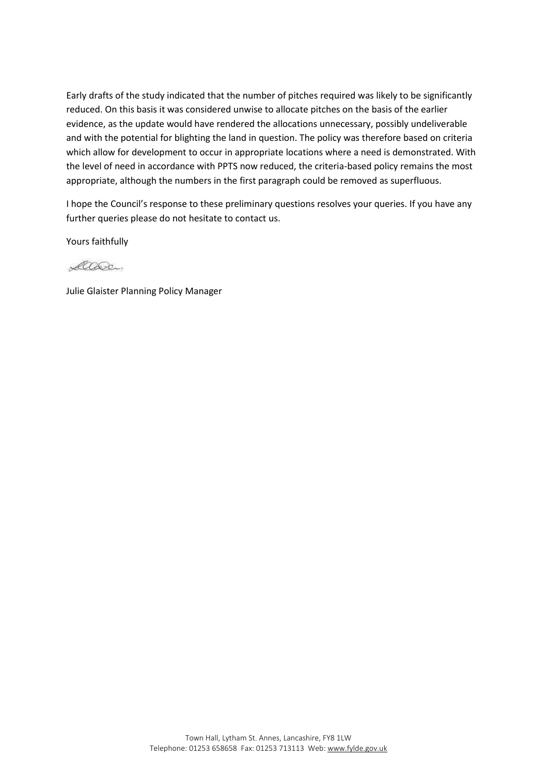Early drafts of the study indicated that the number of pitches required was likely to be significantly reduced. On this basis it was considered unwise to allocate pitches on the basis of the earlier evidence, as the update would have rendered the allocations unnecessary, possibly undeliverable and with the potential for blighting the land in question. The policy was therefore based on criteria which allow for development to occur in appropriate locations where a need is demonstrated. With the level of need in accordance with PPTS now reduced, the criteria-based policy remains the most appropriate, although the numbers in the first paragraph could be removed as superfluous.

I hope the Council's response to these preliminary questions resolves your queries. If you have any further queries please do not hesitate to contact us.

Yours faithfully

Care.

Julie Glaister Planning Policy Manager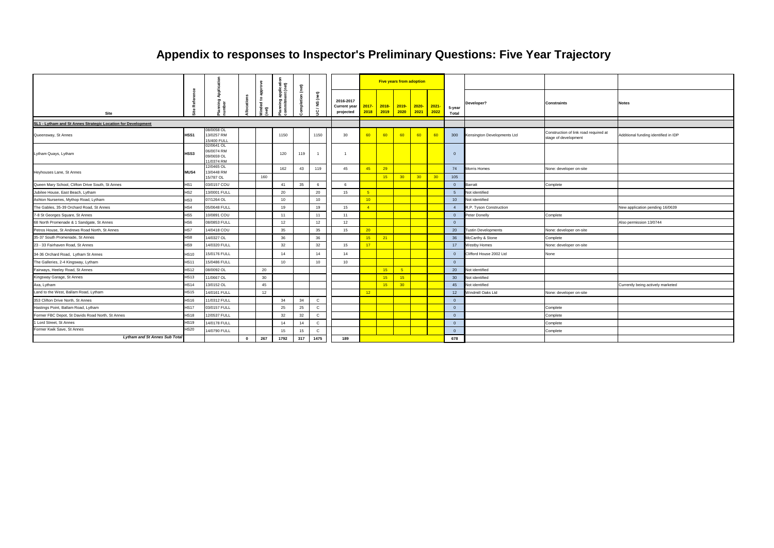|                                                              |                 |                                                     |              |             | application<br>ent (net) | (net)   |                |                                               |                  |                  | <b>Five years from adoption</b> |                                                                       |       |                 |                             |                                                               |                                      |
|--------------------------------------------------------------|-----------------|-----------------------------------------------------|--------------|-------------|--------------------------|---------|----------------|-----------------------------------------------|------------------|------------------|---------------------------------|-----------------------------------------------------------------------|-------|-----------------|-----------------------------|---------------------------------------------------------------|--------------------------------------|
| Site                                                         |                 | ă<br>'lanning<br>umber                              | ations       | ded to<br>€ | poling                   | pletion | UC / NS (net)  | 2016-2017<br><b>Current year</b><br>projected | $2017 -$<br>2018 | $2018 -$<br>2019 | 2020                            | <mark>2019- 2020- 2021-</mark><br>2021 2022                           |       | 5-year<br>Total | Developer?                  | <b>Constraints</b>                                            | <b>Notes</b>                         |
| SL1 - Lytham and St Annes Strategic Location for Development |                 |                                                     |              |             |                          |         |                |                                               |                  |                  |                                 |                                                                       |       |                 |                             |                                                               |                                      |
| Queensway, St Annes                                          | HSS1            | 08/0058 OL<br>13/0257 RM<br>5/400 FULI              |              |             | 1150                     |         | 1150           | 30                                            | 60               | 60               | 60                              | 60                                                                    | $-60$ | 300             | Kensington Developments Ltd | Construction of link road required at<br>stage of development | Additional funding identified in IDP |
| Lytham Quays, Lytham                                         | HSS3            | 02/0641 OL<br>06/0074 RM<br>09/0659 OL<br>1/0374 RM |              |             | 120                      | 119     | $\overline{1}$ | $\overline{1}$                                |                  |                  |                                 |                                                                       |       | $\overline{0}$  |                             |                                                               |                                      |
| Heyhouses Lane, St Annes                                     | <b>MUS4</b>     | 2/0465 OL<br>13/0448 RM<br>5/787 OL                 |              | 160         | 162                      | 43      | 119            | 45                                            | 45               | 29<br>15         | 30 <sup>2</sup>                 | $\begin{array}{ c c c c c } \hline \text{30} & \text{30} \end{array}$ |       | 74<br>105       | Morris Homes                | None: developer on-site                                       |                                      |
| Queen Mary School, Clifton Drive South, St Annes             | HS <sub>1</sub> | 03/0157 COU                                         |              |             | 41                       | 35      | 6              | 6                                             |                  |                  |                                 |                                                                       |       | $\Omega$        | <b>Barratt</b>              | Complete                                                      |                                      |
| Jubilee House, East Beach, Lytham                            | HS <sub>2</sub> | 13/0001 FULL                                        |              |             | 20                       |         | 20             | 15                                            |                  |                  |                                 |                                                                       |       | -5              | Not identified              |                                                               |                                      |
| Ashton Nurseries, Mythop Road, Lytham                        | HS3             | 07/1264 OL                                          |              |             | 10                       |         | 10             |                                               | 10 <sup>°</sup>  |                  |                                 |                                                                       |       | 10              | Not identified              |                                                               |                                      |
| The Gables, 35-39 Orchard Road, St Annes                     | HS4             | 05/0648 FULL                                        |              |             | 19                       |         | 19             | 15                                            | $-4$             |                  |                                 |                                                                       |       | $\overline{4}$  | R.P. Tyson Construction     |                                                               | New application pending 16/0639      |
| 7-8 St Georges Square, St Annes                              | HS <sub>5</sub> | 10/0891 COU                                         |              |             | 11                       |         | 11             | 11                                            |                  |                  |                                 |                                                                       |       | $\overline{0}$  | Peter Donelly               | Complete                                                      |                                      |
| 68 North Promenade & 1 Sandgate, St Annes                    | HS <sub>6</sub> | 08/0853 FULL                                        |              |             | 12                       |         | 12             | 12                                            |                  |                  |                                 |                                                                       |       | $\overline{0}$  |                             |                                                               | Also permission 13/0744              |
| Petros House, St Andrews Road North, St Annes                | HS7             | 14/0418 COU                                         |              |             | 35                       |         | 35             | 15                                            | 20 <sup>2</sup>  |                  |                                 |                                                                       |       | 20              | <b>Tustin Developments</b>  | None: developer on-site                                       |                                      |
| 35-37 South Promenade, St Annes                              | HS8             | 14/0327 OL                                          |              |             | 36                       |         | 36             |                                               | 15               | 21               |                                 |                                                                       |       | 36              | McCarthy & Stone            | Complete                                                      |                                      |
| 23 - 33 Fairhaven Road, St Annes                             | HS9             | 14/0320 FULL                                        |              |             | 32                       |         | 32             | 15                                            | 17               |                  |                                 |                                                                       |       | 17              | <b>Westby Homes</b>         | None: developer on-site                                       |                                      |
| 34-36 Orchard Road, Lytham St Annes                          | <b>HS10</b>     | 15/0176 FULL                                        |              |             | 14                       |         | 14             | 14                                            |                  |                  |                                 |                                                                       |       | $\overline{0}$  | Clifford House 2002 Ltd     | None                                                          |                                      |
| The Galleries, 2-4 Kingsway, Lytham                          | <b>HS11</b>     | 15/0486 FULL                                        |              |             | 10                       |         | 10             | 10                                            |                  |                  |                                 |                                                                       |       | $\overline{0}$  |                             |                                                               |                                      |
| Fairways, Heeley Road, St Annes                              | <b>HS12</b>     | 08/0092 OL                                          |              | 20          |                          |         |                |                                               |                  | 15               | $-5$                            |                                                                       |       | 20              | Not identified              |                                                               |                                      |
| Kingsway Garage, St Annes                                    | <b>HS13</b>     | 11/0667 OL                                          |              | 30          |                          |         |                |                                               |                  | 15               | 15                              |                                                                       |       | 30              | Not identified              |                                                               |                                      |
| Axa, Lytham                                                  | <b>HS14</b>     | 13/0152 OL                                          |              | 45          |                          |         |                |                                               |                  | 15               | 30 <sup>°</sup>                 |                                                                       |       | 45              | Not identified              |                                                               | Currently being actively marketed    |
| Land to the West, Ballam Road, Lytham                        | <b>HS15</b>     | 14/0161 FULL                                        |              | 12          |                          |         |                |                                               | 12               |                  |                                 |                                                                       |       | 12              | Windmill Oaks Ltd           | None: developer on-site                                       |                                      |
| 353 Clifton Drive North, St Annes                            | <b>HS16</b>     | 1/0312 FULL                                         |              |             | 34                       | 34      | $\mathbf{C}$   |                                               |                  |                  |                                 |                                                                       |       | $\overline{0}$  |                             |                                                               |                                      |
| Hastings Point, Ballam Road, Lytham                          | <b>HS17</b>     | 03/0157 FULL                                        |              |             | 25                       | 25      | $\mathbf C$    |                                               |                  |                  |                                 |                                                                       |       | $\overline{0}$  |                             | Complete                                                      |                                      |
| Former FBC Depot, St Davids Road North, St Annes             | <b>HS18</b>     | 12/0537 FULL                                        |              |             | 32                       | 32      | $\mathbf{C}$   |                                               |                  |                  |                                 |                                                                       |       | $\Omega$        |                             | Complete                                                      |                                      |
| 1 Lord Street, St Annes                                      | <b>HS19</b>     | 14/0178 FULL                                        |              |             | 14                       | 14      | $\mathbf{C}$   |                                               |                  |                  |                                 |                                                                       |       | $\overline{0}$  |                             | Complete                                                      |                                      |
| Former Kwik Save, St Annes                                   | <b>HS20</b>     | 14/0790 FULL                                        |              |             | 15                       | 15      | $\mathbf{C}$   |                                               |                  |                  |                                 |                                                                       |       | $\Omega$        |                             | Complete                                                      |                                      |
| <b>Lytham and St Annes Sub Total</b>                         |                 |                                                     | $\mathbf{0}$ | 267         | 1792                     | 317     | 1475           | 189                                           |                  |                  |                                 |                                                                       |       | 678             |                             |                                                               |                                      |

# **Appendix to responses to Inspector's Preliminary Questions: Five Year Trajectory**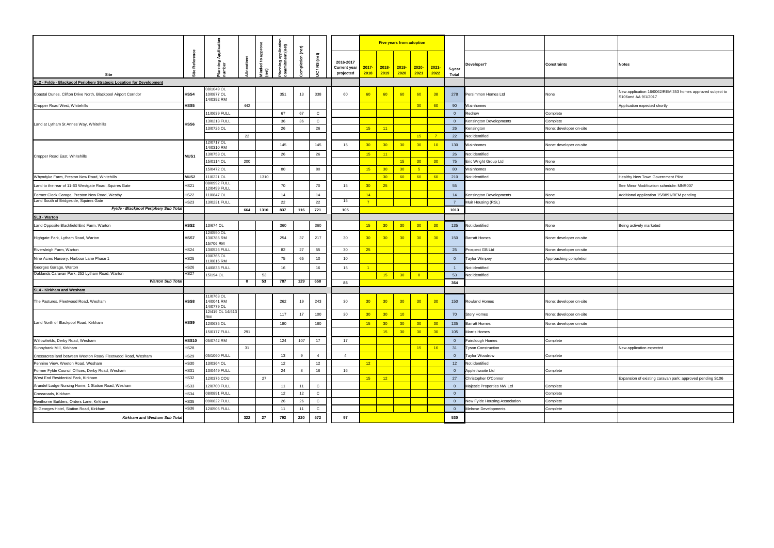|    | <b>Notes</b>                                                                     |
|----|----------------------------------------------------------------------------------|
|    |                                                                                  |
|    | New application 16/0062/REM 353 homes approved subject to<br>S106and AA 9/1/2017 |
|    | Application expected shortly                                                     |
|    |                                                                                  |
|    |                                                                                  |
| e  |                                                                                  |
|    |                                                                                  |
| e  |                                                                                  |
|    |                                                                                  |
|    |                                                                                  |
|    | Healthy New Town Government Pilot                                                |
|    | See Minor Modification schedule: MNR007                                          |
|    |                                                                                  |
|    | Additional application 15/0891/REM pending                                       |
|    |                                                                                  |
|    |                                                                                  |
|    | Being actively marketed                                                          |
| e  |                                                                                  |
| e  |                                                                                  |
| 'n |                                                                                  |
|    |                                                                                  |
|    |                                                                                  |
|    |                                                                                  |
|    |                                                                                  |
| e  |                                                                                  |
| e  |                                                                                  |
| e  |                                                                                  |
|    |                                                                                  |
|    |                                                                                  |
|    | New application expected                                                         |
|    |                                                                                  |
|    |                                                                                  |
|    | Expansion of existing caravan park: approved pending S106                        |
|    |                                                                                  |
|    |                                                                                  |
|    |                                                                                  |
|    |                                                                                  |
|    |                                                                                  |

|                                                                      |              |                                       |           |      | ilicati<br>(net) | $_{\rm (net)}$ |                         |                                        |                  |                  | <b>Five years from adoption</b> |                  |                       |                         |                               |                         |                                                                                  |
|----------------------------------------------------------------------|--------------|---------------------------------------|-----------|------|------------------|----------------|-------------------------|----------------------------------------|------------------|------------------|---------------------------------|------------------|-----------------------|-------------------------|-------------------------------|-------------------------|----------------------------------------------------------------------------------|
| Site                                                                 | Refer        | ₹<br>mning<br>mber                    |           | dto  | 幕盖               | pletion        | $_{\rm (net)}$<br>UC/NS | 2016-2017<br>Current year<br>projected | $2017 -$<br>2018 | $2018 -$<br>2019 | $2019 -$<br>2020                | $2020-$<br> 2021 | $\vert$ 2021-<br>2022 | 5-year<br><b>Total</b>  | Developer?                    | <b>Constraints</b>      | <b>Notes</b>                                                                     |
| SL2 - Fylde - Blackpool Periphery Strategic Location for Development |              |                                       |           |      |                  |                |                         |                                        |                  |                  |                                 |                  |                       |                         |                               |                         |                                                                                  |
| Coastal Dunes, Clifton Drive North, Blackpool Airport Corridor       | HSS4         | 08/1049 OL<br>10/0877 OL<br>4/0392 RM |           |      | 351              | 13             | 338                     | 60                                     | 60               | 60               | 60                              | 60               | 38                    | 278                     | Persimmon Homes Ltd           | None                    | New application 16/0062/REM 353 homes approved subject to<br>S106and AA 9/1/2017 |
| Cropper Road West, Whitehills                                        | HSS5         |                                       | 442       |      |                  |                |                         |                                        |                  |                  |                                 | 30 <sub>o</sub>  | 60                    | 90                      | <b>Nainhomes</b>              |                         | Application expected shortly                                                     |
|                                                                      |              | 1/0639 FULL                           |           |      | 67               | 67             | $\mathsf{C}$            |                                        |                  |                  |                                 |                  |                       | $\overline{\mathbf{0}}$ | Redrow                        | Complete                |                                                                                  |
| Land at Lytham St Annes Way, Whitehills                              | HSS6         | 3/0213 FULL                           |           |      | 36               | 36             | $\mathsf{C}$            |                                        |                  |                  |                                 |                  |                       | $\overline{0}$          | Censington Developments       | Complete                |                                                                                  |
|                                                                      |              | 13/0726 OL                            |           |      | 26               |                | 26                      |                                        | 15               | 11               |                                 |                  |                       | 26                      | <b>Censington</b>             | None: developer on-site |                                                                                  |
|                                                                      |              |                                       | 22        |      |                  |                |                         |                                        |                  |                  |                                 | 15               | $\overline{7}$        | 22                      | Not identified                |                         |                                                                                  |
|                                                                      |              | 12/0717 OL<br>14/0310 RM              |           |      | 145              |                | 145                     | 15                                     | 30 <sub>o</sub>  | 30               | 30                              | 30 <sub>o</sub>  | 10                    | 130                     | Wainhomes                     | None: developer on-site |                                                                                  |
| Cropper Road East, Whitehills                                        | <b>MUS1</b>  | 3/0753 OL                             |           |      | 26               |                | 26                      |                                        | 15               | 11               |                                 |                  |                       | 26                      | Not identified                |                         |                                                                                  |
|                                                                      |              | 15/0114 OL                            | 200       |      |                  |                |                         |                                        |                  |                  | 15                              | 30 <sub>o</sub>  | 30 <sub>o</sub>       | 75                      | Eric Wright Group Ltd         | None                    |                                                                                  |
|                                                                      |              | 5/0472 OL                             |           |      | 80               |                | 80                      |                                        | 15               | 30               | 30 <sup>°</sup>                 | $-5$             |                       | 80                      | Wainhomes                     | None                    |                                                                                  |
| Whyndyke Farm, Preston New Road, Whitehills                          | <b>MUS2</b>  | 1/0221 OL                             |           | 1310 |                  |                |                         |                                        |                  | 30 <sub>o</sub>  | 60                              | 60               | 60                    | 210                     | Not identified                |                         | Healthy New Town Government Pilot                                                |
| Land to the rear of 11-63 Westgate Road, Squires Gate                | <b>HS21</b>  | 08/0992 FULL                          |           |      | 70               |                | 70                      | 15                                     | 30               | 25               |                                 |                  |                       | 55                      |                               |                         | See Minor Modification schedule: MNR007                                          |
| Former Clock Garage, Preston New Road, Westby                        | <b>HS22</b>  | 2/0499 FULL<br>1/0847 OL              |           |      | 14               |                | 14                      |                                        | 14               |                  |                                 |                  |                       | 14                      | Censington Developments       | None                    | Additional application 15/0891/REM pending                                       |
| Land South of Bridgeside, Squires Gate                               | <b>HS23</b>  | 3/0231 FULL                           |           |      | 22               |                | 22                      | 15                                     | $\overline{7}$   |                  |                                 |                  |                       | $\overline{7}$          | Muir Housing (RSL)            | None                    |                                                                                  |
| Fylde - Blackpool Periphery Sub Total                                |              |                                       | 664       | 1310 | 837              | 116            | 721                     | 105                                    |                  |                  |                                 |                  |                       | 1013                    |                               |                         |                                                                                  |
| SL3 - Warton                                                         |              |                                       |           |      |                  |                |                         |                                        |                  |                  |                                 |                  |                       |                         |                               |                         |                                                                                  |
| Land Opposite Blackfield End Farm, Warton                            | HSS2         | 13/674 OL                             |           |      | 360              |                | 360                     |                                        | 15               | 30 <sub>o</sub>  | 30                              | 30 <sub>o</sub>  | 30                    | 135                     | Not identified                | None                    | Being actively marketed                                                          |
| Highgate Park, Lytham Road, Warton                                   | HSS7         | 2/0550 OL<br>13/0786 RM<br>5/706 RM   |           |      | 254              | 37             | 217                     | 30                                     | 30 <sub>o</sub>  | 30               | 30                              | 30 <sub>o</sub>  | 30                    | 150                     | Barratt Homes                 | None: developer on-site |                                                                                  |
| Riversleigh Farm, Warton                                             | <b>HS24</b>  | 13/0526 FULL                          |           |      | 82               | 27             | 55                      | 30                                     | 25               |                  |                                 |                  |                       | 25                      | rospect GB Ltd                | None: developer on-site |                                                                                  |
| Nine Acres Nursery, Harbour Lane Phase 1                             | <b>HS25</b>  | 0/0766 OL<br>1/0816 RM                |           |      | 75               | 65             | 10                      | 10                                     |                  |                  |                                 |                  |                       | $\overline{0}$          | <b>Taylor Wimpey</b>          | Approaching completion  |                                                                                  |
| Georges Garage, Warton                                               | <b>HS26</b>  | 14/0833 FULL                          |           |      | 16               |                | 16                      | 15                                     | $\overline{1}$   |                  |                                 |                  |                       | $\blacksquare$          | Not identified                |                         |                                                                                  |
| Oaklands Caravan Park, 252 Lytham Road, Warton                       | <b>HS27</b>  | 15/194 OL                             |           | 53   |                  |                |                         |                                        |                  | 15               | 30 <sub>o</sub>                 | $\overline{R}$   |                       | 53                      | Not identified                |                         |                                                                                  |
| <b>Warton Sub Total</b>                                              |              |                                       | $\bullet$ | 53   | 787              | 129            | 658                     | 85                                     |                  |                  |                                 |                  |                       | 364                     |                               |                         |                                                                                  |
| SL4 - Kirkham and Wesham                                             |              |                                       |           |      |                  |                |                         |                                        |                  |                  |                                 |                  |                       |                         |                               |                         |                                                                                  |
| The Pastures, Fleetwood Road, Wesham                                 | HSS8         | 1/0763 OL<br>14/0041 RM<br>4/0779 OL  |           |      | 262              | 19             | 243                     | 30                                     | 30 <sub>o</sub>  | 30 <sub>o</sub>  | 30 <sub>o</sub>                 | 30               | 30 <sub>o</sub>       | 150                     | Rowland Homes                 | None: developer on-site |                                                                                  |
|                                                                      |              | 12/419 OL 14/613<br><b>RM</b>         |           |      | 117              | 17             | 100                     | 30                                     | 30 <sub>o</sub>  | 30 <sub>o</sub>  | 10                              |                  |                       | 70                      | <b>Story Homes</b>            | None: developer on-site |                                                                                  |
| Land North of Blackpool Road, Kirkham                                | HSS9         | 12/0635 OL                            |           |      | 180              |                | 180                     |                                        | 15               | 30 <sup>°</sup>  | 30 <sub>o</sub>                 | 30 <sup>°</sup>  | 30 <sub>o</sub>       | 135                     | <b>Barratt Homes</b>          | None: developer on-site |                                                                                  |
|                                                                      |              | 15/0177 FULL                          | 291       |      |                  |                |                         |                                        |                  | 15               | 30 <sup>°</sup>                 | 30               | 30 <sub>o</sub>       | 105                     | Morris Homes                  |                         |                                                                                  |
| Willowfields, Derby Road, Wesham                                     | <b>HSS10</b> | 05/0742 RM                            |           |      | 124              | 107            | 17                      | 17                                     |                  |                  |                                 |                  |                       | $\overline{0}$          | Fairclough Homes              | Complete                |                                                                                  |
| Sunnybank Mill, Kirkham                                              | <b>HS28</b>  |                                       | 31        |      |                  |                |                         |                                        |                  |                  |                                 | 15               | 16                    | 31                      | Tyson Construction            |                         | New application expected                                                         |
| Crossacres land between Weeton Road/ Fleetwood Road, Wesham          | HS29         | 05/1060 FULL                          |           |      | 13               | 9              | $\overline{4}$          | $\overline{4}$                         |                  |                  |                                 |                  |                       | $\overline{\mathbf{0}}$ | Taylor Woodrow                | Complete                |                                                                                  |
| Pennine View, Weeton Road, Wesham                                    | <b>HS30</b>  | 13/0364 OL                            |           |      | 12               |                | 12                      |                                        | 12               |                  |                                 |                  |                       | 12                      | Not identified                |                         |                                                                                  |
| Former Fylde Council Offices, Derby Road, Wesham                     | <b>HS31</b>  | 13/0449 FULL                          |           |      | 24               | 8              | 16                      | 16                                     |                  |                  |                                 |                  |                       | $\overline{0}$          | Applethwaite Ltd              | Complete                |                                                                                  |
| West End Residential Park, Kirkham                                   | HS32         | 12/0376 COU                           |           | 27   |                  |                |                         |                                        | 15               | 12               |                                 |                  |                       | 27                      | Christopher O'Connor          |                         | Expansion of existing caravan park: approved pending S106                        |
| Arundel Lodge Nursing Home, 1 Station Road, Wesham                   | HS33         | 12/0700 FULL                          |           |      | 11               | 11             | $\mathsf{C}$            |                                        |                  |                  |                                 |                  |                       | $\overline{\mathbf{0}}$ | Majestic Properties NW Ltd    | Complete                |                                                                                  |
| Crossroads, Kirkham                                                  | <b>HS34</b>  | 08/0891 FULL                          |           |      | 12               | 12             | $\mathbf{C}$            |                                        |                  |                  |                                 |                  |                       | $\overline{\mathbf{0}}$ |                               | Complete                |                                                                                  |
| Henthorne Builders, Orders Lane, Kirkham                             | <b>HS35</b>  | 09/0822 FULL                          |           |      | 26               | 26             | $\mathbf{C}$            |                                        |                  |                  |                                 |                  |                       | $\overline{\mathbf{0}}$ | New Fylde Housing Association | Complete                |                                                                                  |
| St Georges Hotel, Station Road, Kirkham                              | <b>HS36</b>  | 12/0505 FULL                          |           |      | 11               | 11             | $\mathsf{C}$            |                                        |                  |                  |                                 |                  |                       | $\overline{0}$          | Melrose Developments          | Complete                |                                                                                  |
| Kirkham and Wesham Sub Total                                         |              |                                       | 322       | 27   | 792              | 220            | 572                     | 97                                     |                  |                  |                                 |                  |                       | 530                     |                               |                         |                                                                                  |